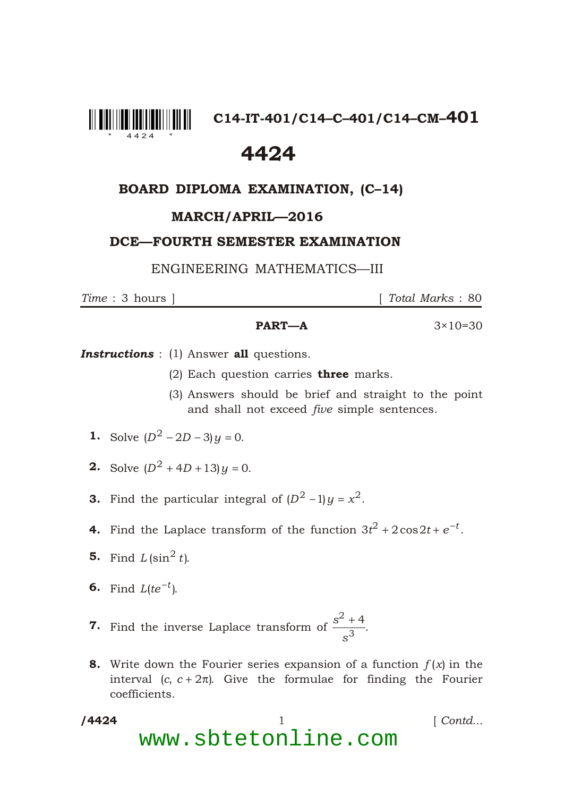

**C14-IT-401/C14–C–401/C14–CM–401**

# 4424

## BOARD DIPLOMA EXAMINATION, (C–14)

### MARCH/APRIL—2016

#### DCE—FOURTH SEMESTER EXAMINATION

ENGINEERING MATHEMATICS—III

*Time* : 3 hours ] [ *Total Marks* : 80

#### **PART—A**  $3 \times 10 = 30$

**Instructions** : (1) Answer all questions.

- (2) Each question carries **three** marks.
- (3) Answers should be brief and straight to the point and shall not exceed *five* simple sentences.
- **1.** Solve  $(D^2 \t 2D \t 3)y$  0.
- **2.** Solve  $(D^2 \t 4D \t 13)y$  0.
- **3.** Find the particular integral of  $(D^2 \t 1)y \t x^2$ .
- **4.** Find the Laplace transform of the function  $3t^2$  2cos2t e  $^t$ .
- **5.** Find  $L (\sin^2 t)$ .
- 6. Find  $L(te^{-t})$ .

\*

- 7. Find the inverse Laplace transform of *<sup>s</sup> s* 2  $\frac{4}{3}$ .
- **8.** Write down the Fourier series expansion of a function  $f(x)$  in the interval  $(c, c, 2)$ . Give the formulae for finding the Fourier coefficients.
- /4424 1 *Contd...* www.sbtetonline.com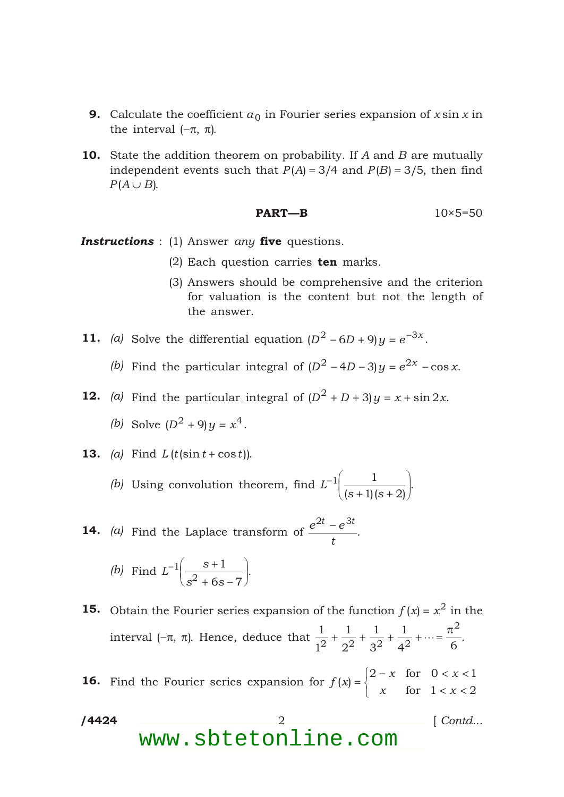- **9.** Calculate the coefficient  $a_0$  in Fourier series expansion of *x* sin *x* in the interval ( , ).
- 10. State the addition theorem on probability. If *A* and *B* are mutually independent events such that  $P(A)$  3/4 and  $P(B)$  3/5, then find  $P(A \cap B)$ .

$$
PART-B \t\t 10 \times 5=50
$$

*Instructions* : (1) Answer *any* five questions.

- (2) Each question carries  $ten$  marks.
- (3) Answers should be comprehensive and the criterion for valuation is the content but not the length of the answer.

**11.** (a) Solve the differential equation  $(D^2 \t 6D \t 9)y \t e^{3x}$ .

*(b)* Find the particular integral of  $(D^2 \quad 4D \quad 3)y \quad e^{2x} \cos x$ .

**12.** (a) Find the particular integral of  $(D^2 \t D \t 3)y \t x \sin 2x$ . *(b)* Solve  $(D^2 \t 9)y \t x^4$ .

**13.** (a) Find 
$$
L(t(\sin t \cos t))
$$
.

*(b)* Using convolution theorem, find *L s s*  $1 \quad \qquad 1$  $(s \ 1)(s \ 2)$ .

**14.** *(a)* Find the Laplace transform of  $\frac{e^{2t}}{t}$ *t* 2*t* 3*t* .

(b) Find 
$$
L^{-1} \frac{s}{s^2}
$$
 6s 7.

\*

**15.** Obtain the Fourier series expansion of the function  $f(x) = x^2$  in the interval ( , ). Hence, deduce that  $\frac{1}{6}$ 1 1 2 1 3 1  $2^2$   $3^2$   $4^2$  6 2  $\cdots$   $\frac{1}{\epsilon}$ .

**16.** Find the Fourier series expansion for  $f(x)$ *x x x x*  $(x)$ 2  $x$  for 0  $x$  1  $1 \quad x \quad 2$ for for

/4424 /4424 2 [ *Contd...* www.sbtetonline.com